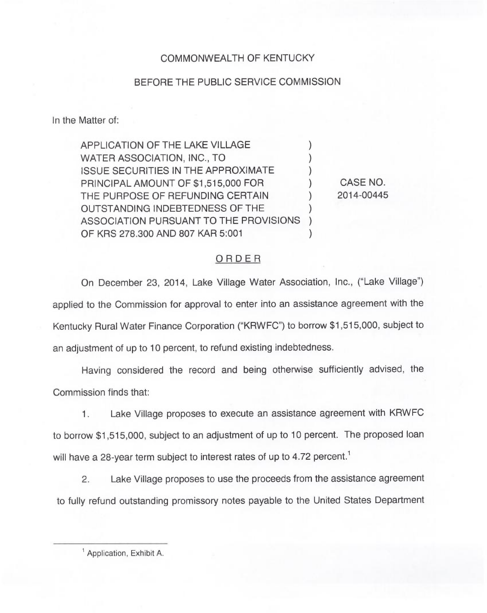## COMMONWEALTH OF KENTUCKY

## BEFORE THE PUBLIC SERVICE COMMISSION

In the Matter of:

APPLICATION OF THE LAKE VILLAGE WATER ASSOCIATION, INC., TO **ISSUE SECURITIES IN THE APPROXIMATE** PRINCIPAL AMOUNT OF \$1,515,000 FOR THE PURPOSE OF REFUNDING CERTAIN OUTSTANDING INDEBTEDNESS OF THE ASSOCIATION PURSUANT TO THE PROVISIONS ) OF KRS 278.300 AND 807 KAR 5:001

CASE NO. 2014-00445

## ORDER

On December 23, 2014, Lake Village Water Association, Inc., ("Lake Village") applied to the Commission for approval to enter into an assistance agreement with the Kentucky Rural Water Finance Corporation ("KRWFC") to borrow \$1,515,000, subject to an adjustment of up to 10 percent, to refund existing indebtedness.

Having considered the record and being otherwise sufficiently advised, the Commission finds that:

Lake Village proposes to execute an assistance agreement with KRWFC  $1.$ to borrow \$1,515,000, subject to an adjustment of up to 10 percent. The proposed loan will have a 28-year term subject to interest rates of up to 4.72 percent.<sup>1</sup>

Lake Village proposes to use the proceeds from the assistance agreement  $2.$ to fully refund outstanding promissory notes payable to the United States Department

<sup>&</sup>lt;sup>1</sup> Application, Exhibit A.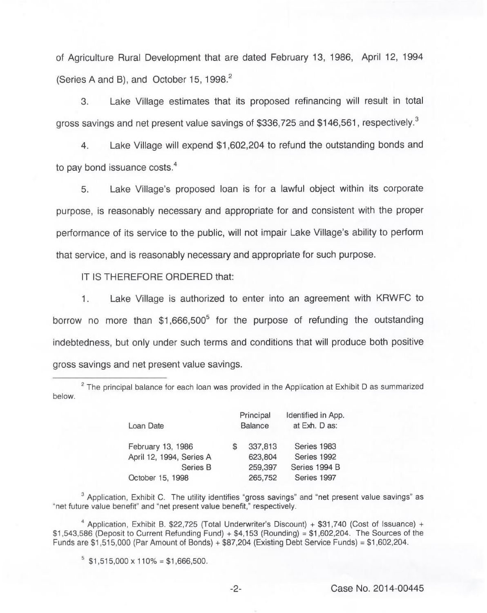of Agriculture Rural Development that are dated February 13, 1986, April 12, 1994 (Series A and B), and October 15, 1998.<sup>2</sup>

Lake Village estimates that its proposed refinancing will result in total 3. gross savings and net present value savings of \$336,725 and \$146,561, respectively.<sup>3</sup>

Lake Village will expend \$1,602,204 to refund the outstanding bonds and  $\overline{4}$ to pay bond issuance costs.<sup>4</sup>

Lake Village's proposed loan is for a lawful object within its corporate 5. purpose, is reasonably necessary and appropriate for and consistent with the proper performance of its service to the public, will not impair Lake Village's ability to perform that service, and is reasonably necessary and appropriate for such purpose.

IT IS THEREFORE ORDERED that:

 $1.$ Lake Village is authorized to enter into an agreement with KRWFC to borrow no more than  $$1,666,500^5$  for the purpose of refunding the outstanding indebtedness, but only under such terms and conditions that will produce both positive gross savings and net present value savings.

 $2$  The principal balance for each loan was provided in the Application at Exhibit D as summarized below.

| Loan Date                | Principal<br><b>Balance</b> |         | Identified in App.<br>at Exh. D as: |
|--------------------------|-----------------------------|---------|-------------------------------------|
| February 13, 1986        |                             | 337,813 | Series 1983                         |
| April 12, 1994, Series A |                             | 623,804 | Series 1992                         |
| Series B                 |                             | 259,397 | Series 1994 B                       |
| October 15, 1998         |                             | 265,752 | Series 1997                         |

 $3$  Application, Exhibit C. The utility identifies "gross savings" and "net present value savings" as "net future value benefit" and "net present value benefit," respectively.

<sup>4</sup> Application, Exhibit B. \$22,725 (Total Underwriter's Discount) + \$31,740 (Cost of Issuance) +  $$1,543,586$  (Deposit to Current Refunding Fund) +  $$4,153$  (Rounding) =  $$1,602,204$ . The Sources of the Funds are \$1,515,000 (Par Amount of Bonds) + \$87,204 (Existing Debt Service Funds) = \$1,602,204.

 $5$  \$1,515,000 x 110% = \$1,666,500.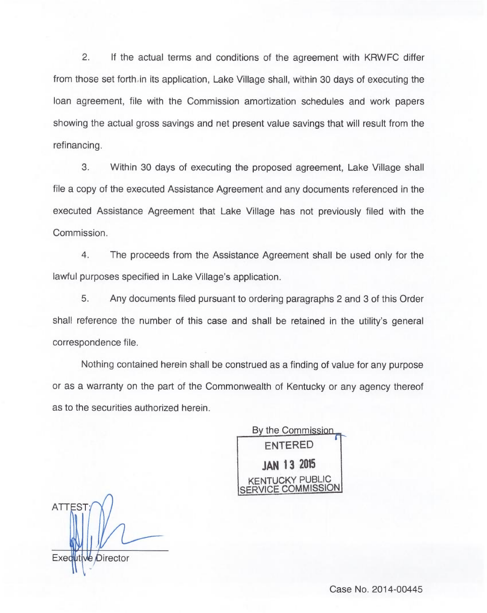2. If the actual terms and conditions of the agreement with KRWFC differ from those set forth. in its application, Lake Village shall, within 30 days of executing the loan agreement, file with the Commission amortization schedules and work papers showing the actual gross savings and net present value savings that will result from the refinancing.

3. Within 30 days of executing the proposed agreement, Lake Village shall file a copy of the executed Assistance Agreement and any documents referenced in the executed Assistance Agreement that Lake Village has not previously filed with the Commission.

4. The proceeds from the Assistance Agreement shall be used only for the lawful purposes specified in Lake Village's application.

5. Any documents filed pursuant to ordering paragraphs 2 and 3 of this Order shall reference the number of this case and shall be retained in the utility's general correspondence file.

Nothing contained herein shall be construed as a finding of value for any purpose or as a warranty on the part of the Commonwealth of Kentucky or any agency thereof as to the securities authorized herein.

By the Commission<br>
ENTERED<br>
JAN 13 2015<br>
KENTUCKY PUBLIC<br>
SERVICE COMMISSI r ENTERED **JAN 13 2015** CKY PUBLIC SERVICE COMMISSION

Exequtive Director

Case No. 2014-00445